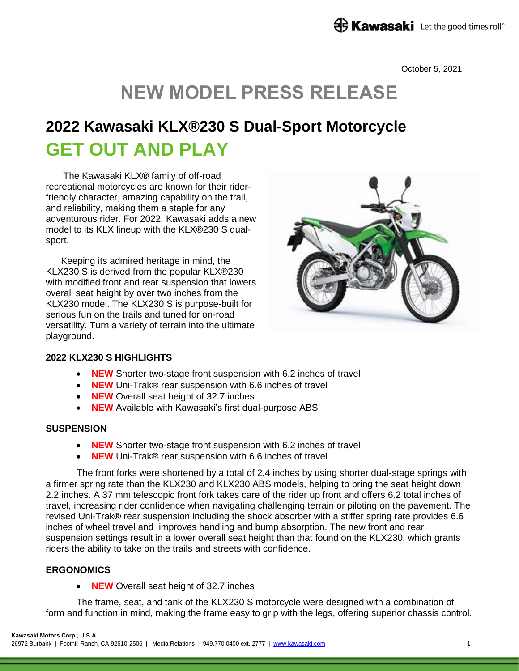October 5, 2021

# **NEW MODEL PRESS RELEASE**

## **2022 Kawasaki KLX®230 S Dual-Sport Motorcycle GET OUT AND PLAY**

The Kawasaki KLX® family of off-road recreational motorcycles are known for their riderfriendly character, amazing capability on the trail, and reliability, making them a staple for any adventurous rider. For 2022, Kawasaki adds a new model to its KLX lineup with the KLX®230 S dualsport.

Keeping its admired heritage in mind, the KLX230 S is derived from the popular KLX®230 with modified front and rear suspension that lowers overall seat height by over two inches from the KLX230 model. The KLX230 S is purpose-built for serious fun on the trails and tuned for on-road versatility. Turn a variety of terrain into the ultimate playground.



## **2022 KLX230 S HIGHLIGHTS**

- **NEW** Shorter two-stage front suspension with 6.2 inches of travel
- **NEW** Uni-Trak® rear suspension with 6.6 inches of travel
- **NEW** Overall seat height of 32.7 inches
- **NEW** Available with Kawasaki's first dual-purpose ABS

#### **SUSPENSION**

- **NEW** Shorter two-stage front suspension with 6.2 inches of travel
- **NEW** Uni-Trak® rear suspension with 6.6 inches of travel

The front forks were shortened by a total of 2.4 inches by using shorter dual-stage springs with a firmer spring rate than the KLX230 and KLX230 ABS models, helping to bring the seat height down 2.2 inches. A 37 mm telescopic front fork takes care of the rider up front and offers 6.2 total inches of travel, increasing rider confidence when navigating challenging terrain or piloting on the pavement. The revised Uni-Trak® rear suspension including the shock absorber with a stiffer spring rate provides 6.6 inches of wheel travel and improves handling and bump absorption. The new front and rear suspension settings result in a lower overall seat height than that found on the KLX230, which grants riders the ability to take on the trails and streets with confidence.

## **ERGONOMICS**

**NEW** Overall seat height of 32.7 inches

The frame, seat, and tank of the KLX230 S motorcycle were designed with a combination of form and function in mind, making the frame easy to grip with the legs, offering superior chassis control.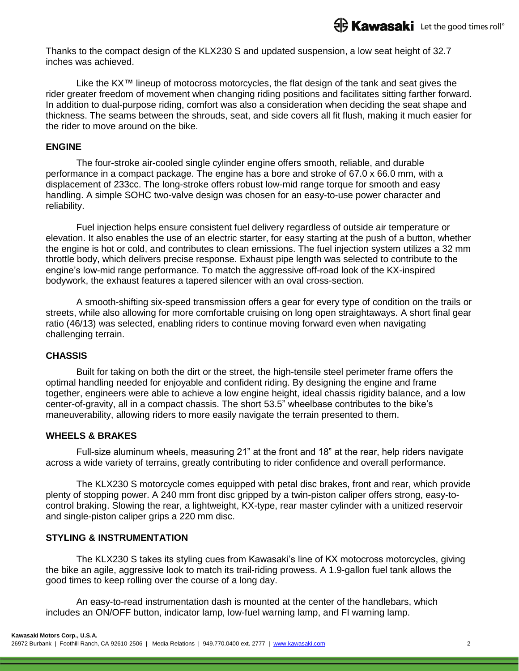Thanks to the compact design of the KLX230 S and updated suspension, a low seat height of 32.7 inches was achieved.

Like the KX™ lineup of motocross motorcycles, the flat design of the tank and seat gives the rider greater freedom of movement when changing riding positions and facilitates sitting farther forward. In addition to dual-purpose riding, comfort was also a consideration when deciding the seat shape and thickness. The seams between the shrouds, seat, and side covers all fit flush, making it much easier for the rider to move around on the bike.

#### **ENGINE**

The four-stroke air-cooled single cylinder engine offers smooth, reliable, and durable performance in a compact package. The engine has a bore and stroke of 67.0 x 66.0 mm, with a displacement of 233cc. The long-stroke offers robust low-mid range torque for smooth and easy handling. A simple SOHC two-valve design was chosen for an easy-to-use power character and reliability.

Fuel injection helps ensure consistent fuel delivery regardless of outside air temperature or elevation. It also enables the use of an electric starter, for easy starting at the push of a button, whether the engine is hot or cold, and contributes to clean emissions. The fuel injection system utilizes a 32 mm throttle body, which delivers precise response. Exhaust pipe length was selected to contribute to the engine's low-mid range performance. To match the aggressive off-road look of the KX-inspired bodywork, the exhaust features a tapered silencer with an oval cross-section.

A smooth-shifting six-speed transmission offers a gear for every type of condition on the trails or streets, while also allowing for more comfortable cruising on long open straightaways. A short final gear ratio (46/13) was selected, enabling riders to continue moving forward even when navigating challenging terrain.

#### **CHASSIS**

Built for taking on both the dirt or the street, the high-tensile steel perimeter frame offers the optimal handling needed for enjoyable and confident riding. By designing the engine and frame together, engineers were able to achieve a low engine height, ideal chassis rigidity balance, and a low center-of-gravity, all in a compact chassis. The short 53.5" wheelbase contributes to the bike's maneuverability, allowing riders to more easily navigate the terrain presented to them.

#### **WHEELS & BRAKES**

Full-size aluminum wheels, measuring 21" at the front and 18" at the rear, help riders navigate across a wide variety of terrains, greatly contributing to rider confidence and overall performance.

The KLX230 S motorcycle comes equipped with petal disc brakes, front and rear, which provide plenty of stopping power. A 240 mm front disc gripped by a twin-piston caliper offers strong, easy-tocontrol braking. Slowing the rear, a lightweight, KX-type, rear master cylinder with a unitized reservoir and single-piston caliper grips a 220 mm disc.

#### **STYLING & INSTRUMENTATION**

The KLX230 S takes its styling cues from Kawasaki's line of KX motocross motorcycles, giving the bike an agile, aggressive look to match its trail-riding prowess. A 1.9-gallon fuel tank allows the good times to keep rolling over the course of a long day.

An easy-to-read instrumentation dash is mounted at the center of the handlebars, which includes an ON/OFF button, indicator lamp, low-fuel warning lamp, and FI warning lamp.